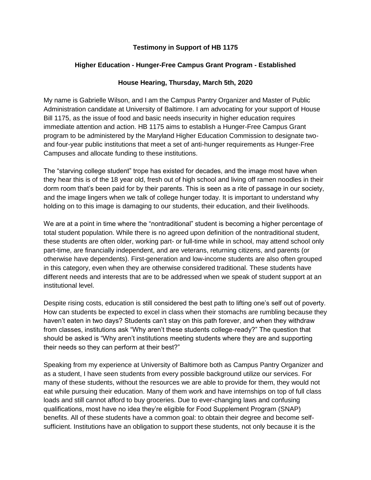## **Testimony in Support of HB 1175**

## **Higher Education - Hunger-Free Campus Grant Program - Established**

## **House Hearing, Thursday, March 5th, 2020**

My name is Gabrielle Wilson, and I am the Campus Pantry Organizer and Master of Public Administration candidate at University of Baltimore. I am advocating for your support of House Bill 1175, as the issue of food and basic needs insecurity in higher education requires immediate attention and action. HB 1175 aims to establish a Hunger-Free Campus Grant program to be administered by the Maryland Higher Education Commission to designate twoand four-year public institutions that meet a set of anti-hunger requirements as Hunger-Free Campuses and allocate funding to these institutions.

The "starving college student" trope has existed for decades, and the image most have when they hear this is of the 18 year old, fresh out of high school and living off ramen noodles in their dorm room that's been paid for by their parents. This is seen as a rite of passage in our society, and the image lingers when we talk of college hunger today. It is important to understand why holding on to this image is damaging to our students, their education, and their livelihoods.

We are at a point in time where the "nontraditional" student is becoming a higher percentage of total student population. While there is no agreed upon definition of the nontraditional student, these students are often older, working part- or full-time while in school, may attend school only part-time, are financially independent, and are veterans, returning citizens, and parents (or otherwise have dependents). First-generation and low-income students are also often grouped in this category, even when they are otherwise considered traditional. These students have different needs and interests that are to be addressed when we speak of student support at an institutional level.

Despite rising costs, education is still considered the best path to lifting one's self out of poverty. How can students be expected to excel in class when their stomachs are rumbling because they haven't eaten in two days? Students can't stay on this path forever, and when they withdraw from classes, institutions ask "Why aren't these students college-ready?" The question that should be asked is "Why aren't institutions meeting students where they are and supporting their needs so they can perform at their best?"

Speaking from my experience at University of Baltimore both as Campus Pantry Organizer and as a student, I have seen students from every possible background utilize our services. For many of these students, without the resources we are able to provide for them, they would not eat while pursuing their education. Many of them work and have internships on top of full class loads and still cannot afford to buy groceries. Due to ever-changing laws and confusing qualifications, most have no idea they're eligible for Food Supplement Program (SNAP) benefits. All of these students have a common goal: to obtain their degree and become selfsufficient. Institutions have an obligation to support these students, not only because it is the